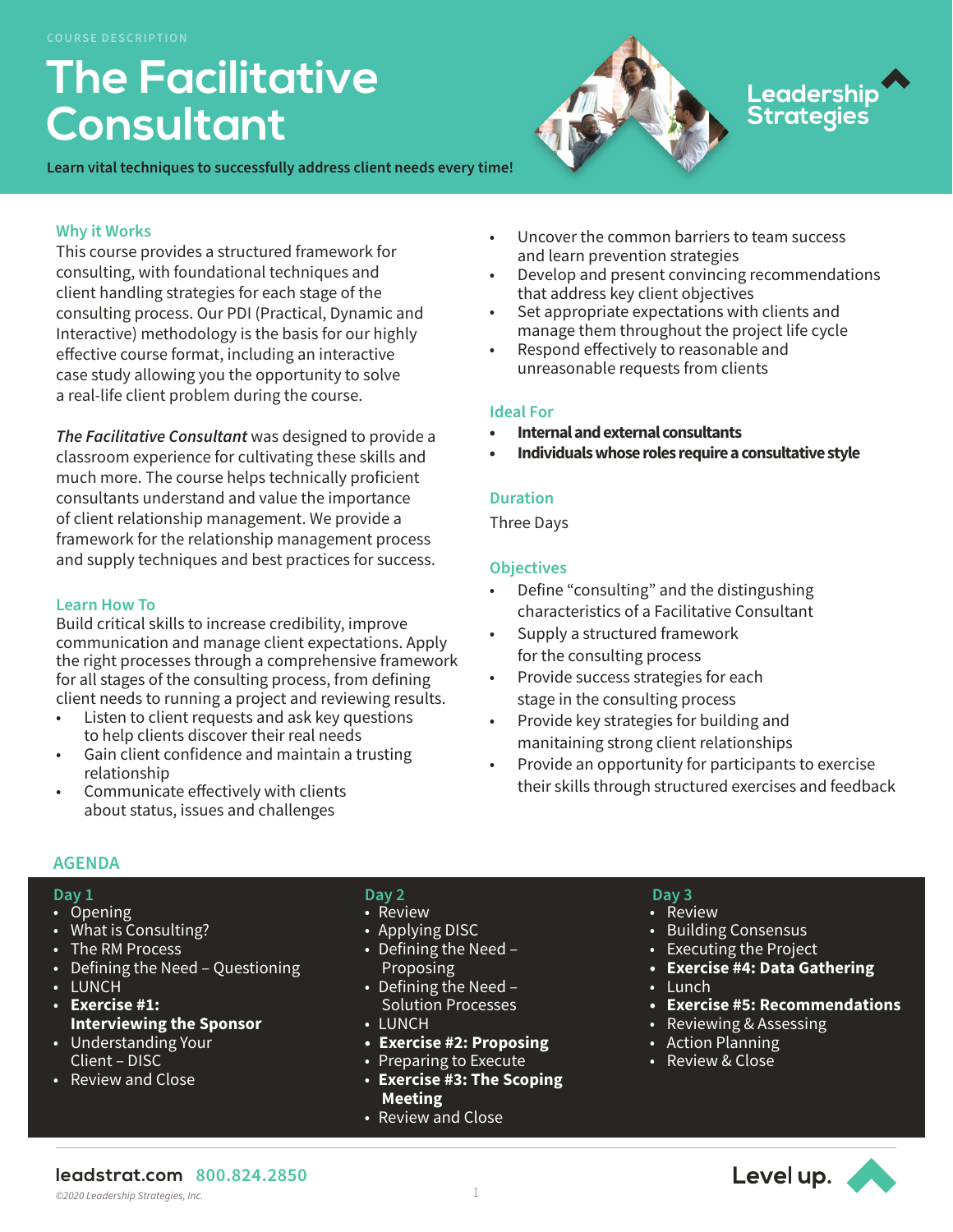# **The Facilitative Consultant**

**Learn vital techniques to successfully address client needs every time!** 



# Leadership<br>Strategies

# **Why it Works**

This course provides a structured framework for consulting, with foundational techniques and client handling strategies for each stage of the consulting process. Our PDI (Practical, Dynamic and Interactive) methodology is the basis for our highly effective course format, including an interactive case study allowing you the opportunity to solve a real-life client problem during the course.

*The Facilitative Consultant* was designed to provide a classroom experience for cultivating these skills and much more. The course helps technically proficient consultants understand and value the importance of client relationship management. We provide a framework for the relationship management process and supply techniques and best practices for success.

# **Learn How To**

Build critical skills to increase credibility, improve communication and manage client expectations. Apply the right processes through a comprehensive framework for all stages of the consulting process, from defining client needs to running a project and reviewing results.

- Listen to client requests and ask key questions to help clients discover their real needs
- Gain client confidence and maintain a trusting relationship
- Communicate effectively with clients about status, issues and challenges

#### • Uncover the common barriers to team success and learn prevention strategies

- Develop and present convincing recommendations that address key client objectives
- Set appropriate expectations with clients and manage them throughout the project life cycle
- Respond effectively to reasonable and unreasonable requests from clients

#### **Ideal For**

- **• Internal and external consultants**
- **• Individuals whose roles require a consultative style**

# **Duration**

Three Days

# **Objectives**

- Define "consulting" and the distingushing characteristics of a Facilitative Consultant
- Supply a structured framework for the consulting process
- Provide success strategies for each stage in the consulting process
- Provide key strategies for building and manitaining strong client relationships
- Provide an opportunity for participants to exercise their skills through structured exercises and feedback

# **AGENDA**

- **Day 1**
- Opening
- What is Consulting?
- The RM Process
- Defining the Need Questioning
- LUNCH
- **Exercise #1: Interviewing the Sponsor**
- Understanding Your Client – DISC
- Review and Close

# **Day 2**

- Review
- Applying DISC
- Defining the Need Proposing
- Defining the Need Solution Processes
- LUNCH
- **• Exercise #2: Proposing**
- Preparing to Execute
- **Exercise #3: The Scoping Meeting**
- Review and Close

# **Day 3**

- Review
- Building Consensus
- Executing the Project
- **• Exercise #4: Data Gathering**
- Lunch
- **• Exercise #5: Recommendations**
- Reviewing & Assessing
- Action Planning
- Review & Close